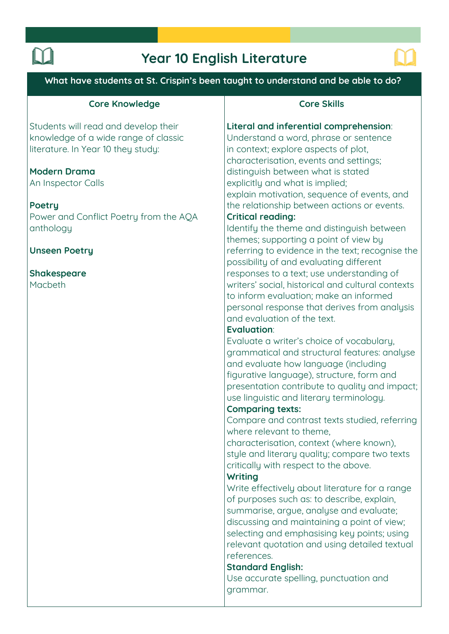# **Year 10 English Literature**



**What have students at St. Crispin's been taught to understand and be able to do?**

# **Core Knowledge**

**Students will read and develop their knowledge of a wide range of classic literature. In Year 10 they study:**

# **Modern Drama**

**An Inspector Calls**

### **Poetry**

**Power and Conflict Poetry from the AQA anthology**

# **Unseen Poetry**

#### **Shakespeare Macbeth**

## **Core Skills**

#### **Literal and inferential comprehension:**

**Understand a word, phrase or sentence in context; explore aspects of plot, characterisation, events and settings; distinguish between what is stated explicitly and what is implied; explain motivation, sequence of events, and the relationship between actions or events.**

# **Critical reading:**

**Identify the theme and distinguish between themes; supporting a point of view by referring to evidence in the text; recognise the possibility of and evaluating different responses to a text; use understanding of writers' social, historical and cultural contexts to inform evaluation; make an informed personal response that derives from analysis and evaluation of the text.** 

# **Evaluation:**

**Evaluate a writer's choice of vocabulary, grammatical and structural features: analyse and evaluate how language (including figurative language), structure, form and presentation contribute to quality and impact; use linguistic and literary terminology.** 

### **Comparing texts:**

**Compare and contrast texts studied, referring where relevant to theme,** 

**characterisation, context (where known), style and literary quality; compare two texts critically with respect to the above.** 

# **Writing**

**Write effectively about literature for a range of purposes such as: to describe, explain, summarise, argue, analyse and evaluate; discussing and maintaining a point of view; selecting and emphasising key points; using relevant quotation and using detailed textual references.** 

### **Standard English:**

**Use accurate spelling, punctuation and grammar.**